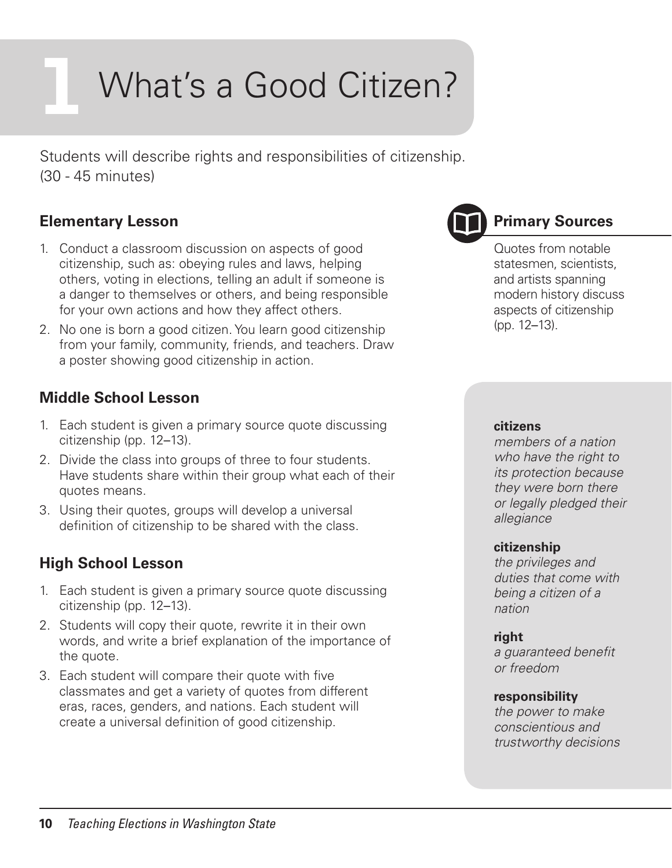# What's a Good Citizen?

Students will describe rights and responsibilities of citizenship. (30 - 45 minutes)

## **Elementary Lesson**

- 1. Conduct a classroom discussion on aspects of good citizenship, such as: obeying rules and laws, helping others, voting in elections, telling an adult if someone is a danger to themselves or others, and being responsible for your own actions and how they affect others.
- 2. No one is born a good citizen. You learn good citizenship from your family, community, friends, and teachers. Draw a poster showing good citizenship in action.

## **Middle School Lesson**

- 1. Each student is given a primary source quote discussing citizenship (pp. 12–13).
- 2. Divide the class into groups of three to four students. Have students share within their group what each of their quotes means.
- 3. Using their quotes, groups will develop a universal definition of citizenship to be shared with the class.

## **High School Lesson**

- 1. Each student is given a primary source quote discussing citizenship (pp. 12–13).
- 2. Students will copy their quote, rewrite it in their own words, and write a brief explanation of the importance of the quote.
- 3. Each student will compare their quote with five classmates and get a variety of quotes from different eras, races, genders, and nations. Each student will create a universal definition of good citizenship.



## **Primary Sources**

Quotes from notable statesmen, scientists, and artists spanning modern history discuss aspects of citizenship (pp. 12–13).

#### **citizens**

*members of a nation who have the right to its protection because they were born there or legally pledged their allegiance*

#### **citizenship**

*the privileges and duties that come with being a citizen of a nation*

#### **right**

*a guaranteed benefit or freedom*

#### **responsibility**

*the power to make conscientious and trustworthy decisions*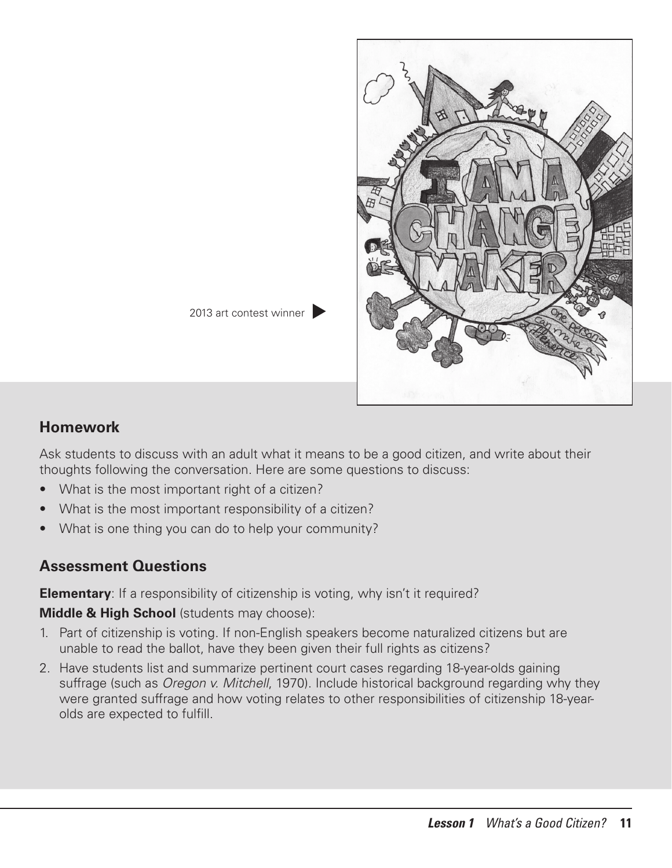

### **Homework**

Ask students to discuss with an adult what it means to be a good citizen, and write about their thoughts following the conversation. Here are some questions to discuss:

- What is the most important right of a citizen?
- What is the most important responsibility of a citizen?
- What is one thing you can do to help your community?

## **Assessment Questions**

**Elementary**: If a responsibility of citizenship is voting, why isn't it required?

**Middle & High School** (students may choose):

- 1. Part of citizenship is voting. If non-English speakers become naturalized citizens but are unable to read the ballot, have they been given their full rights as citizens?
- 2. Have students list and summarize pertinent court cases regarding 18-year-olds gaining suffrage (such as *Oregon v. Mitchell*, 1970). Include historical background regarding why they were granted suffrage and how voting relates to other responsibilities of citizenship 18-yearolds are expected to fulfill.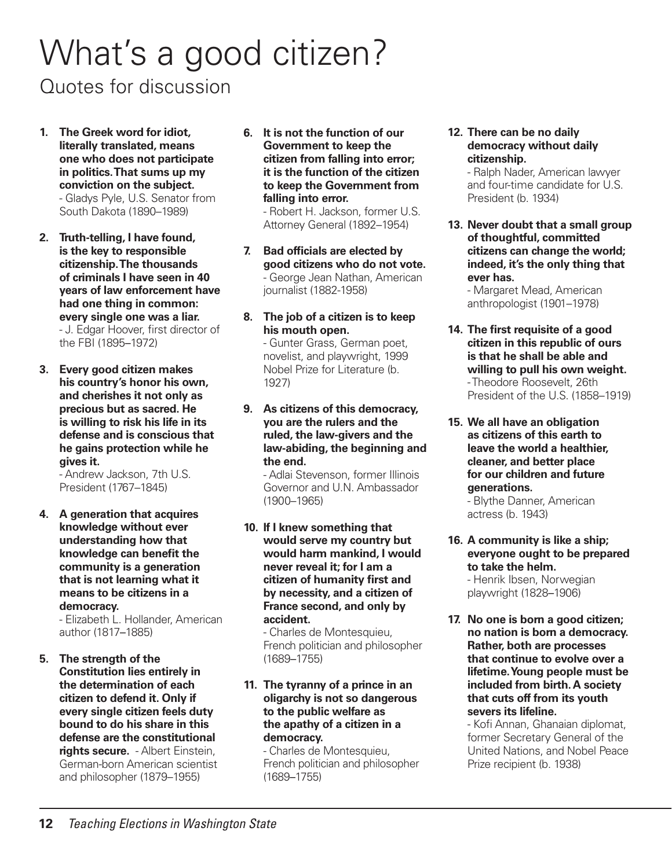## What's a good citizen?

Quotes for discussion

- **1. The Greek word for idiot, literally translated, means one who does not participate in politics. That sums up my conviction on the subject.** - Gladys Pyle, U.S. Senator from South Dakota (1890–1989)
- **2. Truth-telling, I have found, is the key to responsible citizenship. The thousands of criminals I have seen in 40 years of law enforcement have had one thing in common: every single one was a liar.**  - J. Edgar Hoover, first director of the FBI (1895–1972)
- **3. Every good citizen makes his country's honor his own, and cherishes it not only as precious but as sacred. He is willing to risk his life in its defense and is conscious that he gains protection while he gives it.**

- Andrew Jackson, 7th U.S. President (1767–1845)

**4. A generation that acquires knowledge without ever understanding how that knowledge can benefit the community is a generation that is not learning what it means to be citizens in a democracy.**

- Elizabeth L. Hollander, American author (1817–1885)

**5. The strength of the Constitution lies entirely in the determination of each citizen to defend it. Only if every single citizen feels duty bound to do his share in this defense are the constitutional rights secure.** - Albert Einstein, German-born American scientist and philosopher (1879–1955)

**6. It is not the function of our Government to keep the citizen from falling into error; it is the function of the citizen to keep the Government from falling into error.** 

- Robert H. Jackson, former U.S. Attorney General (1892–1954)

- **7. Bad officials are elected by good citizens who do not vote.** - George Jean Nathan, American journalist (1882-1958)
- **8. The job of a citizen is to keep his mouth open.**

- Gunter Grass, German poet, novelist, and playwright, 1999 Nobel Prize for Literature (b. 1927)

**9. As citizens of this democracy, you are the rulers and the ruled, the law-givers and the law-abiding, the beginning and the end.**

- Adlai Stevenson, former Illinois Governor and U.N. Ambassador (1900–1965)

**10. If I knew something that would serve my country but would harm mankind, I would never reveal it; for I am a citizen of humanity first and by necessity, and a citizen of France second, and only by accident.** 

- Charles de Montesquieu, French politician and philosopher (1689–1755)

#### **11. The tyranny of a prince in an oligarchy is not so dangerous to the public welfare as the apathy of a citizen in a democracy.**

- Charles de Montesquieu, French politician and philosopher (1689–1755)

**12. There can be no daily democracy without daily citizenship.** 

- Ralph Nader, American lawyer and four-time candidate for U.S. President (b. 1934)

**13. Never doubt that a small group of thoughtful, committed citizens can change the world; indeed, it's the only thing that ever has.** 

- Margaret Mead, American anthropologist (1901–1978)

- **14. The first requisite of a good citizen in this republic of ours is that he shall be able and willing to pull his own weight.**  - Theodore Roosevelt, 26th President of the U.S. (1858–1919)
- **15. We all have an obligation as citizens of this earth to leave the world a healthier, cleaner, and better place for our children and future generations.**

- Blythe Danner, American actress (b. 1943)

- **16. A community is like a ship; everyone ought to be prepared to take the helm.** - Henrik Ibsen, Norwegian playwright (1828–1906)
- **17. No one is born a good citizen; no nation is born a democracy. Rather, both are processes that continue to evolve over a lifetime. Young people must be included from birth. A society that cuts off from its youth severs its lifeline.**

- Kofi Annan, Ghanaian diplomat, former Secretary General of the United Nations, and Nobel Peace Prize recipient (b. 1938)